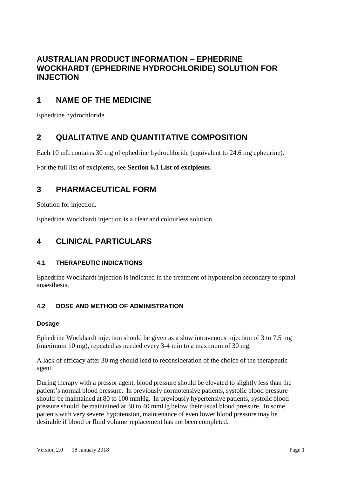# **AUSTRALIAN PRODUCT INFORMATION – EPHEDRINE WOCKHARDT (EPHEDRINE HYDROCHLORIDE) SOLUTION FOR INJECTION**

# **1 NAME OF THE MEDICINE**

Ephedrine hydrochloride

# **2 QUALITATIVE AND QUANTITATIVE COMPOSITION**

Each 10 mL contains 30 mg of ephedrine hydrochloride (equivalent to 24.6 mg ephedrine).

For the full list of excipients, see **Section 6.1 List of excipients**.

# **3 PHARMACEUTICAL FORM**

Solution for injection.

Ephedrine Wockhardt injection is a clear and colourless solution.

# **4 CLINICAL PARTICULARS**

# **4.1 THERAPEUTIC INDICATIONS**

Ephedrine Wockhardt injection is indicated in the treatment of hypotension secondary to spinal anaesthesia.

# **4.2 DOSE AND METHOD OF ADMINISTRATION**

### **Dosage**

Ephedrine Wockhardt injection should be given as a slow intravenous injection of 3 to 7.5 mg (maximum 10 mg), repeated as needed every 3-4 min to a maximum of 30 mg.

A lack of efficacy after 30 mg should lead to reconsideration of the choice of the therapeutic agent.

During therapy with a pressor agent, blood pressure should be elevated to slightly less than the patient's normal blood pressure. In previously normotensive patients, systolic blood pressure should be maintained at 80 to 100 mmHg. In previously hypertensive patients, systolic blood pressure should be maintained at 30 to 40 mmHg below their usual blood pressure. In some patients with very severe hypotension, maintenance of even lower blood pressure may be desirable if blood or fluid volume replacement has not been completed.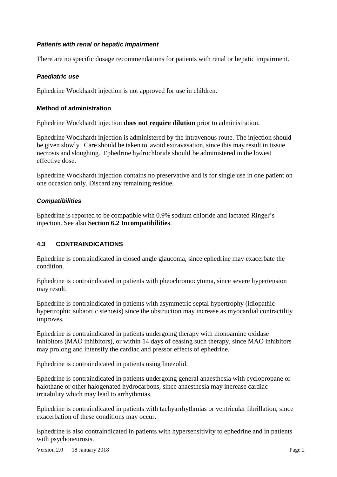#### *Patients with renal or hepatic impairment*

There are no specific dosage recommendations for patients with renal or hepatic impairment.

### *Paediatric use*

Ephedrine Wockhardt injection is not approved for use in children.

#### **Method of administration**

Ephedrine Wockhardt injection **does not require dilution** prior to administration.

Ephedrine Wockhardt injection is administered by the intravenous route. The injection should be given slowly. Care should be taken to avoid extravasation, since this may result in tissue necrosis and sloughing. Ephedrine hydrochloride should be administered in the lowest effective dose.

Ephedrine Wockhardt injection contains no preservative and is for single use in one patient on one occasion only. Discard any remaining residue.

#### *Compatibilities*

Ephedrine is reported to be compatible with 0.9% sodium chloride and lactated Ringer's injection. See also **Section 6.2 Incompatibilities**.

### **4.3 CONTRAINDICATIONS**

Ephedrine is contraindicated in closed angle glaucoma, since ephedrine may exacerbate the condition.

Ephedrine is contraindicated in patients with pheochromocytoma, since severe hypertension may result.

Ephedrine is contraindicated in patients with asymmetric septal hypertrophy (idiopathic hypertrophic subaortic stenosis) since the obstruction may increase as myocardial contractility improves.

Ephedrine is contraindicated in patients undergoing therapy with monoamine oxidase inhibitors (MAO inhibitors), or within 14 days of ceasing such therapy, since MAO inhibitors may prolong and intensify the cardiac and pressor effects of ephedrine.

Ephedrine is contraindicated in patients using linezolid.

Ephedrine is contraindicated in patients undergoing general anaesthesia with cyclopropane or halothane or other halogenated hydrocarbons, since anaesthesia may increase cardiac irritability which may lead to arrhythmias.

Ephedrine is contraindicated in patients with tachyarrhythmias or ventricular fibrillation, since exacerbation of these conditions may occur.

Ephedrine is also contraindicated in patients with hypersensitivity to ephedrine and in patients with psychoneurosis.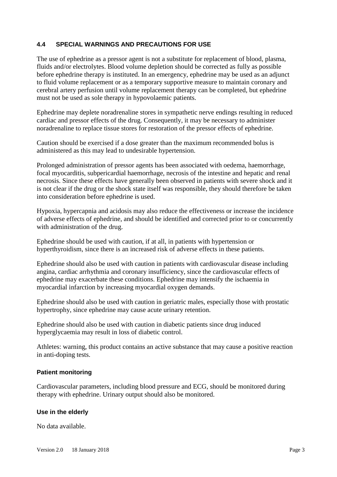#### **4.4 SPECIAL WARNINGS AND PRECAUTIONS FOR USE**

The use of ephedrine as a pressor agent is not a substitute for replacement of blood, plasma, fluids and/or electrolytes. Blood volume depletion should be corrected as fully as possible before ephedrine therapy is instituted. In an emergency, ephedrine may be used as an adjunct to fluid volume replacement or as a temporary supportive measure to maintain coronary and cerebral artery perfusion until volume replacement therapy can be completed, but ephedrine must not be used as sole therapy in hypovolaemic patients.

Ephedrine may deplete noradrenaline stores in sympathetic nerve endings resulting in reduced cardiac and pressor effects of the drug. Consequently, it may be necessary to administer noradrenaline to replace tissue stores for restoration of the pressor effects of ephedrine.

Caution should be exercised if a dose greater than the maximum recommended bolus is administered as this may lead to undesirable hypertension.

Prolonged administration of pressor agents has been associated with oedema, haemorrhage, focal myocarditis, subpericardial haemorrhage, necrosis of the intestine and hepatic and renal necrosis. Since these effects have generally been observed in patients with severe shock and it is not clear if the drug or the shock state itself was responsible, they should therefore be taken into consideration before ephedrine is used.

Hypoxia, hypercapnia and acidosis may also reduce the effectiveness or increase the incidence of adverse effects of ephedrine, and should be identified and corrected prior to or concurrently with administration of the drug.

Ephedrine should be used with caution, if at all, in patients with hypertension or hyperthyroidism, since there is an increased risk of adverse effects in these patients.

Ephedrine should also be used with caution in patients with cardiovascular disease including angina, cardiac arrhythmia and coronary insufficiency, since the cardiovascular effects of ephedrine may exacerbate these conditions. Ephedrine may intensify the ischaemia in myocardial infarction by increasing myocardial oxygen demands.

Ephedrine should also be used with caution in geriatric males, especially those with prostatic hypertrophy, since ephedrine may cause acute urinary retention.

Ephedrine should also be used with caution in diabetic patients since drug induced hyperglycaemia may result in loss of diabetic control.

Athletes: warning, this product contains an active substance that may cause a positive reaction in anti-doping tests.

#### **Patient monitoring**

Cardiovascular parameters, including blood pressure and ECG, should be monitored during therapy with ephedrine. Urinary output should also be monitored.

#### **Use in the elderly**

No data available.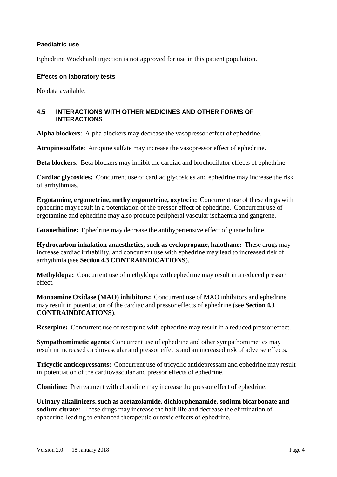#### **Paediatric use**

Ephedrine Wockhardt injection is not approved for use in this patient population.

#### **Effects on laboratory tests**

No data available.

#### **4.5 INTERACTIONS WITH OTHER MEDICINES AND OTHER FORMS OF INTERACTIONS**

**Alpha blockers**: Alpha blockers may decrease the vasopressor effect of ephedrine.

**Atropine sulfate**: Atropine sulfate may increase the vasopressor effect of ephedrine.

**Beta blockers**: Beta blockers may inhibit the cardiac and brochodilator effects of ephedrine.

**Cardiac glycosides:** Concurrent use of cardiac glycosides and ephedrine may increase the risk of arrhythmias.

**Ergotamine, ergometrine, methylergometrine, oxytocin:** Concurrent use of these drugs with ephedrine may result in a potentiation of the pressor effect of ephedrine. Concurrent use of ergotamine and ephedrine may also produce peripheral vascular ischaemia and gangrene.

**Guanethidine:** Ephedrine may decrease the antihypertensive effect of guanethidine.

**Hydrocarbon inhalation anaesthetics, such as cyclopropane, halothane:** These drugs may increase cardiac irritability, and concurrent use with ephedrine may lead to increased risk of arrhythmia (see **Section 4.3 CONTRAINDICATIONS**).

**Methyldopa:** Concurrent use of methyldopa with ephedrine may result in a reduced pressor effect.

**Monoamine Oxidase (MAO) inhibitors:** Concurrent use of MAO inhibitors and ephedrine may result in potentiation of the cardiac and pressor effects of ephedrine (see **Section 4.3 CONTRAINDICATIONS**).

**Reserpine:** Concurrent use of reserpine with ephedrine may result in a reduced pressor effect.

**Sympathomimetic agents**: Concurrent use of ephedrine and other sympathomimetics may result in increased cardiovascular and pressor effects and an increased risk of adverse effects.

**Tricyclic antidepressants:** Concurrent use of tricyclic antidepressant and ephedrine may result in potentiation of the cardiovascular and pressor effects of ephedrine.

**Clonidine:** Pretreatment with clonidine may increase the pressor effect of ephedrine.

**Urinary alkalinizers,such as acetazolamide, dichlorphenamide, sodium bicarbonate and sodium citrate:** These drugs may increase the half-life and decrease the elimination of ephedrine leading to enhanced therapeutic or toxic effects of ephedrine.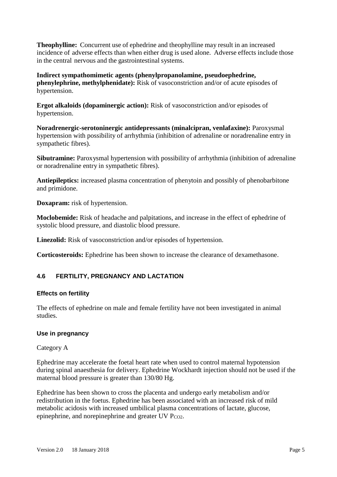**Theophylline:** Concurrent use of ephedrine and theophylline may result in an increased incidence of adverse effects than when either drug is used alone. Adverse effects include those in the central nervous and the gastrointestinal systems.

**Indirect sympathomimetic agents (phenylpropanolamine, pseudoephedrine, phenylephrine, methylphenidate):** Risk of vasoconstriction and/or of acute episodes of hypertension.

**Ergot alkaloids (dopaminergic action):** Risk of vasoconstriction and/or episodes of hypertension.

**Noradrenergic-serotoninergic antidepressants (minalcipran, venlafaxine):** Paroxysmal hypertension with possibility of arrhythmia (inhibition of adrenaline or noradrenaline entry in sympathetic fibres).

**Sibutramine:** Paroxysmal hypertension with possibility of arrhythmia (inhibition of adrenaline or noradrenaline entry in sympathetic fibres).

**Antiepileptics:** increased plasma concentration of phenytoin and possibly of phenobarbitone and primidone.

**Doxapram:** risk of hypertension.

**Moclobemide:** Risk of headache and palpitations, and increase in the effect of ephedrine of systolic blood pressure, and diastolic blood pressure.

Linezolid: Risk of vasoconstriction and/or episodes of hypertension.

**Corticosteroids:** Ephedrine has been shown to increase the clearance of dexamethasone.

### **4.6 FERTILITY, PREGNANCY AND LACTATION**

#### **Effects on fertility**

The effects of ephedrine on male and female fertility have not been investigated in animal studies.

#### **Use in pregnancy**

#### Category A

Ephedrine may accelerate the foetal heart rate when used to control maternal hypotension during spinal anaesthesia for delivery. Ephedrine Wockhardt injection should not be used if the maternal blood pressure is greater than 130/80 Hg.

Ephedrine has been shown to cross the placenta and undergo early metabolism and/or redistribution in the foetus. Ephedrine has been associated with an increased risk of mild metabolic acidosis with increased umbilical plasma concentrations of lactate, glucose, epinephrine, and norepinephrine and greater UV  $P_{CO2}$ .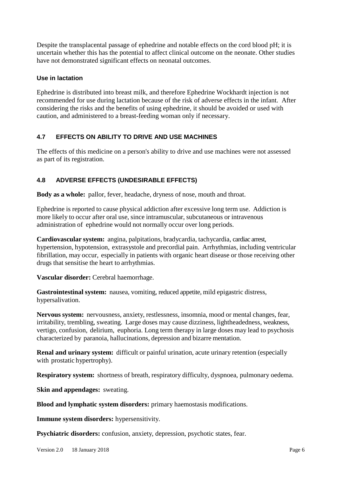Despite the transplacental passage of ephedrine and notable effects on the cord blood pH; it is uncertain whether this has the potential to affect clinical outcome on the neonate. Other studies have not demonstrated significant effects on neonatal outcomes.

#### **Use in lactation**

Ephedrine is distributed into breast milk, and therefore Ephedrine Wockhardt injection is not recommended for use during lactation because of the risk of adverse effects in the infant. After considering the risks and the benefits of using ephedrine, it should be avoided or used with caution, and administered to a breast-feeding woman only if necessary.

# **4.7 EFFECTS ON ABILITY TO DRIVE AND USE MACHINES**

The effects of this medicine on a person's ability to drive and use machines were not assessed as part of its registration.

# **4.8 ADVERSE EFFECTS (UNDESIRABLE EFFECTS)**

**Body as a whole:** pallor, fever, headache, dryness of nose, mouth and throat.

Ephedrine is reported to cause physical addiction after excessive long term use. Addiction is more likely to occur after oral use, since intramuscular, subcutaneous or intravenous administration of ephedrine would not normally occur over long periods.

**Cardiovascular system:** angina, palpitations, bradycardia, tachycardia, cardiac arrest, hypertension, hypotension, extrasystole and precordial pain. Arrhythmias, including ventricular fibrillation, may occur, especially in patients with organic heart disease or those receiving other drugs that sensitise the heart to arrhythmias.

**Vascular disorder:** Cerebral haemorrhage.

**Gastrointestinal system:** nausea, vomiting, reduced appetite, mild epigastric distress, hypersalivation.

**Nervous system:** nervousness, anxiety, restlessness, insomnia, mood or mental changes, fear, irritability, trembling, sweating. Large doses may cause dizziness, lightheadedness, weakness, vertigo, confusion, delirium, euphoria. Long term therapy in large doses may lead to psychosis characterized by paranoia, hallucinations, depression and bizarre mentation.

**Renal and urinary system:** difficult or painful urination, acute urinary retention (especially with prostatic hypertrophy).

**Respiratory system:** shortness of breath, respiratory difficulty, dyspnoea, pulmonary oedema.

**Skin and appendages:** sweating.

**Blood and lymphatic system disorders:** primary haemostasis modifications.

**Immune system disorders:** hypersensitivity.

**Psychiatric disorders:** confusion, anxiety, depression, psychotic states, fear.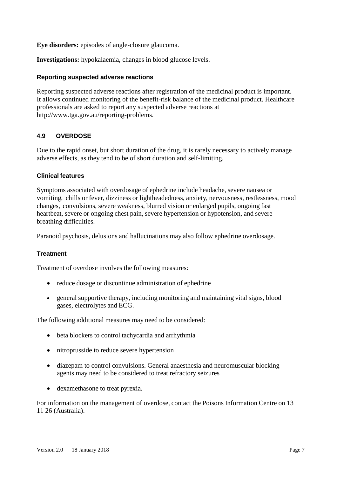**Eye disorders:** episodes of angle-closure glaucoma.

**Investigations:** hypokalaemia, changes in blood glucose levels.

#### **Reporting suspected adverse reactions**

Reporting suspected adverse reactions after registration of the medicinal product is important. It allows continued monitoring of the benefit-risk balance of the medicinal product. Healthcare professionals are asked to report any suspected adverse reactions at http://www.tga.gov.au/reporting-problems.

### **4.9 OVERDOSE**

Due to the rapid onset, but short duration of the drug, it is rarely necessary to actively manage adverse effects, as they tend to be of short duration and self-limiting.

#### **Clinical features**

Symptoms associated with overdosage of ephedrine include headache, severe nausea or vomiting, chills or fever, dizziness or lightheadedness, anxiety, nervousness, restlessness, mood changes, convulsions, severe weakness, blurred vision or enlarged pupils, ongoing fast heartbeat, severe or ongoing chest pain, severe hypertension or hypotension, and severe breathing difficulties.

Paranoid psychosis, delusions and hallucinations may also follow ephedrine overdosage.

### **Treatment**

Treatment of overdose involves the following measures:

- reduce dosage or discontinue administration of ephedrine
- general supportive therapy, including monitoring and maintaining vital signs, blood gases, electrolytes and ECG.

The following additional measures may need to be considered:

- beta blockers to control tachycardia and arrhythmia
- nitroprusside to reduce severe hypertension
- diazepam to control convulsions. General anaesthesia and neuromuscular blocking agents may need to be considered to treat refractory seizures
- dexamethasone to treat pyrexia.

For information on the management of overdose, contact the Poisons Information Centre on 13 11 26 (Australia).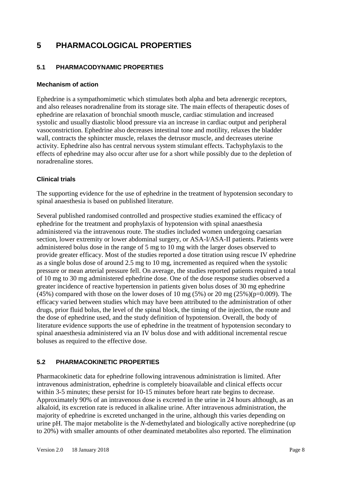# **5 PHARMACOLOGICAL PROPERTIES**

## **5.1 PHARMACODYNAMIC PROPERTIES**

#### **Mechanism of action**

Ephedrine is a sympathomimetic which stimulates both alpha and beta adrenergic receptors, and also releases noradrenaline from its storage site. The main effects of therapeutic doses of ephedrine are relaxation of bronchial smooth muscle, cardiac stimulation and increased systolic and usually diastolic blood pressure via an increase in cardiac output and peripheral vasoconstriction. Ephedrine also decreases intestinal tone and motility, relaxes the bladder wall, contracts the sphincter muscle, relaxes the detrusor muscle, and decreases uterine activity. Ephedrine also has central nervous system stimulant effects. Tachyphylaxis to the effects of ephedrine may also occur after use for a short while possibly due to the depletion of noradrenaline stores.

### **Clinical trials**

The supporting evidence for the use of ephedrine in the treatment of hypotension secondary to spinal anaesthesia is based on published literature.

Several published randomised controlled and prospective studies examined the efficacy of ephedrine for the treatment and prophylaxis of hypotension with spinal anaesthesia administered via the intravenous route. The studies included women undergoing caesarian section, lower extremity or lower abdominal surgery, or ASA-I/ASA-II patients. Patients were administered bolus dose in the range of 5 mg to 10 mg with the larger doses observed to provide greater efficacy. Most of the studies reported a dose titration using rescue IV ephedrine as a single bolus dose of around 2.5 mg to 10 mg, incremented as required when the systolic pressure or mean arterial pressure fell. On average, the studies reported patients required a total of 10 mg to 30 mg administered ephedrine dose. One of the dose response studies observed a greater incidence of reactive hypertension in patients given bolus doses of 30 mg ephedrine  $(45\%)$  compared with those on the lower doses of 10 mg  $(5\%)$  or 20 mg  $(25\%)$  (p=0.009). The efficacy varied between studies which may have been attributed to the administration of other drugs, prior fluid bolus, the level of the spinal block, the timing of the injection, the route and the dose of ephedrine used, and the study definition of hypotension. Overall, the body of literature evidence supports the use of ephedrine in the treatment of hypotension secondary to spinal anaesthesia administered via an IV bolus dose and with additional incremental rescue boluses as required to the effective dose.

### **5.2 PHARMACOKINETIC PROPERTIES**

Pharmacokinetic data for ephedrine following intravenous administration is limited. After intravenous administration, ephedrine is completely bioavailable and clinical effects occur within 3-5 minutes; these persist for 10-15 minutes before heart rate begins to decrease. Approximately 90% of an intravenous dose is excreted in the urine in 24 hours although, as an alkaloid, its excretion rate is reduced in alkaline urine. After intravenous administration, the majority of ephedrine is excreted unchanged in the urine, although this varies depending on urine pH. The major metabolite is the *N*-demethylated and biologically active norephedrine (up to 20%) with smaller amounts of other deaminated metabolites also reported. The elimination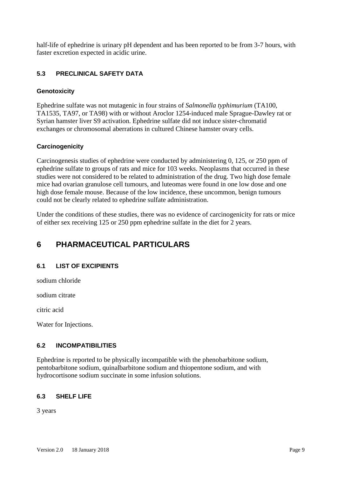half-life of ephedrine is urinary pH dependent and has been reported to be from 3-7 hours, with faster excretion expected in acidic urine.

## **5.3 PRECLINICAL SAFETY DATA**

#### **Genotoxicity**

Ephedrine sulfate was not mutagenic in four strains of *Salmonella typhimurium* (TA100, TA1535, TA97, or TA98) with or without Aroclor 1254-induced male Sprague-Dawley rat or Syrian hamster liver S9 activation. Ephedrine sulfate did not induce sister-chromatid exchanges or chromosomal aberrations in cultured Chinese hamster ovary cells.

#### **Carcinogenicity**

Carcinogenesis studies of ephedrine were conducted by administering 0, 125, or 250 ppm of ephedrine sulfate to groups of rats and mice for 103 weeks. Neoplasms that occurred in these studies were not considered to be related to administration of the drug. Two high dose female mice had ovarian granulose cell tumours, and luteomas were found in one low dose and one high dose female mouse. Because of the low incidence, these uncommon, benign tumours could not be clearly related to ephedrine sulfate administration.

Under the conditions of these studies, there was no evidence of carcinogenicity for rats or mice of either sex receiving 125 or 250 ppm ephedrine sulfate in the diet for 2 years.

# **6 PHARMACEUTICAL PARTICULARS**

### **6.1 LIST OF EXCIPIENTS**

sodium chloride

sodium citrate

citric acid

Water for Injections.

### **6.2 INCOMPATIBILITIES**

Ephedrine is reported to be physically incompatible with the phenobarbitone sodium, pentobarbitone sodium, quinalbarbitone sodium and thiopentone sodium, and with hydrocortisone sodium succinate in some infusion solutions.

### **6.3 SHELF LIFE**

3 years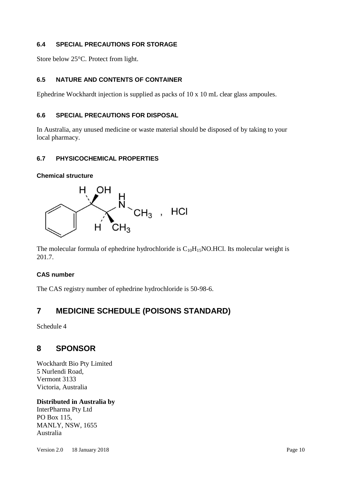## **6.4 SPECIAL PRECAUTIONS FOR STORAGE**

Store below 25°C. Protect from light.

# **6.5 NATURE AND CONTENTS OF CONTAINER**

Ephedrine Wockhardt injection is supplied as packs of 10 x 10 mL clear glass ampoules.

## **6.6 SPECIAL PRECAUTIONS FOR DISPOSAL**

In Australia, any unused medicine or waste material should be disposed of by taking to your local pharmacy.

# **6.7 PHYSICOCHEMICAL PROPERTIES**

**Chemical structure**



The molecular formula of ephedrine hydrochloride is  $C_{10}H_{15}NO.HCl$ . Its molecular weight is 201.7.

### **CAS number**

The CAS registry number of ephedrine hydrochloride is 50-98-6.

# **7 MEDICINE SCHEDULE (POISONS STANDARD)**

Schedule 4

# **8 SPONSOR**

Wockhardt Bio Pty Limited 5 Nurlendi Road, Vermont 3133 Victoria, Australia

# **Distributed in Australia by**

InterPharma Pty Ltd PO Box 115, MANLY, NSW, 1655 Australia